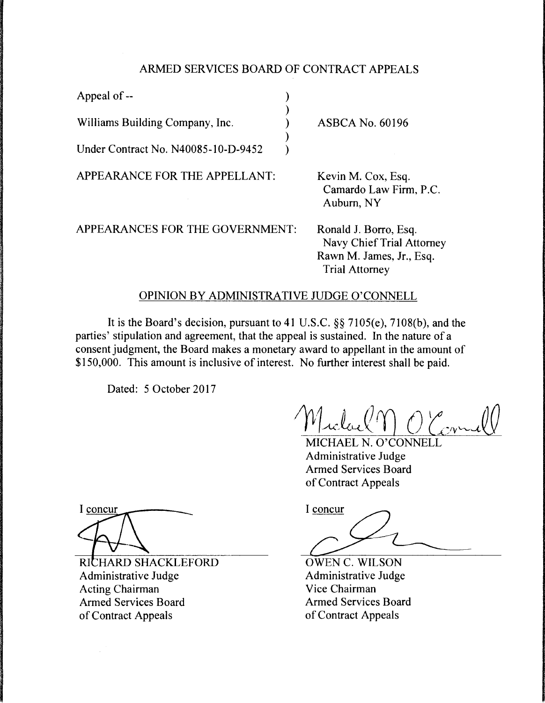## ARMED SERVICES BOARD OF CONTRACT APPEALS

| Appeal of $-$                       |                                                      |
|-------------------------------------|------------------------------------------------------|
| Williams Building Company, Inc.     | <b>ASBCA No. 60196</b>                               |
| Under Contract No. N40085-10-D-9452 |                                                      |
| APPEARANCE FOR THE APPELLANT:       | Kevin M. Cox, Esq.<br>Camardo Law Firm<br>Auburn, NY |

APPEARANCES FOR THE GOVERNMENT:

 $R. P.C.$ Ronald J. Borro, Esq.

Navy Chief Trial Attorney Rawn M. James, Jr., Esq. Trial Attorney

## OPINION BY ADMINISTRATIVE JUDGE O'CONNELL

It is the Board's decision, pursuant to 41 U.S.C. §§ 7105(e), 7108(b), and the parties' stipulation and agreement, that the appeal is sustained. In the nature of a consent judgment, the Board makes a monetary award to appellant in the amount of \$150,000. This amount is inclusive of interest. No further interest shall be paid.

Dated: 5 October 2017

MICHAEL N. O'CONNELL Administrative Judge Armed Services Board of Contract Appeals

Armed Services Board<br>of Contract Appeals<br>I concur

OWEN C. WILSON Administrative Judge Vice Chairman Armed Services Board of Contract Appeals

I concur

RICHARD SHACKLEFORD Administrative Judge Acting Chairman Armed Services Board of Contract Appeals